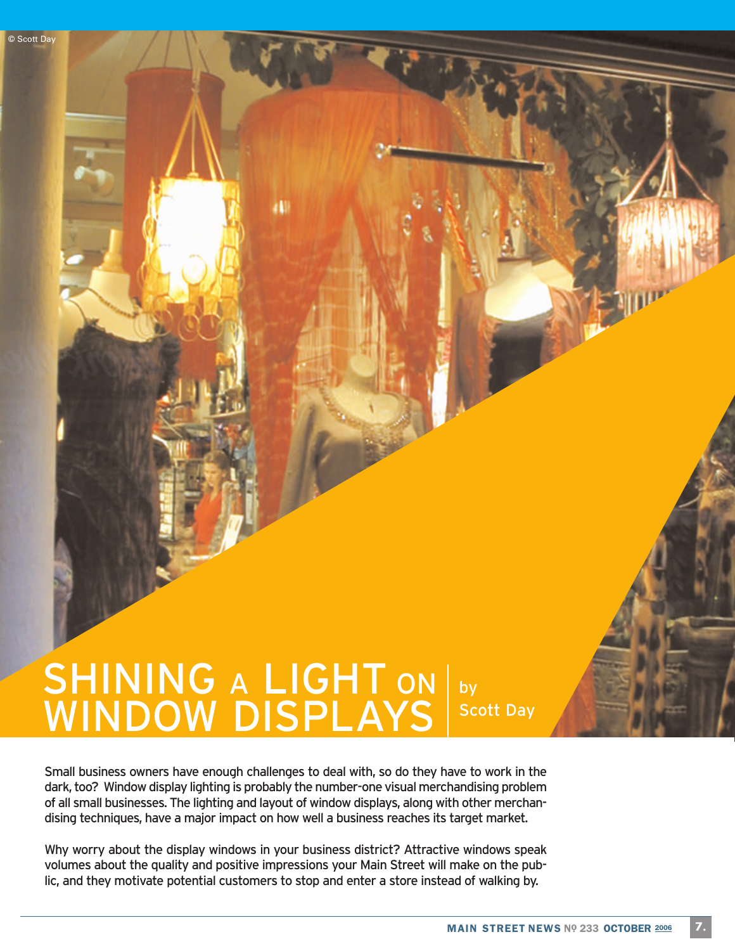# SHINING A LIGHT ON WINDOW DISPLAYS by Scott Day

л

© Scott Day

Small business owners have enough challenges to deal with, so do they have to work in the dark, too? Window display lighting is probably the number-one visual merchandising problem of all small businesses. The lighting and layout of window displays, along with other merchandising techniques, have a major impact on how well a business reaches its target market.

Why worry about the display windows in your business district? Attractive windows speak volumes about the quality and positive impressions your Main Street will make on the public, and they motivate potential customers to stop and enter a store instead of walking by.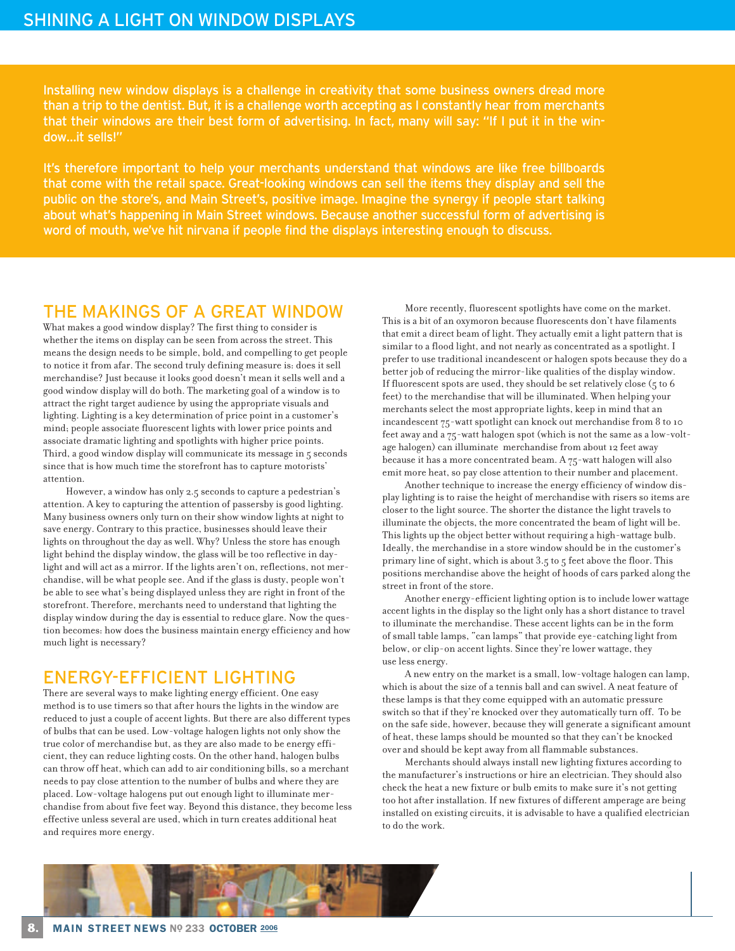Installing new window displays is a challenge in creativity that some business owners dread more than a trip to the dentist. But, it is a challenge worth accepting as I constantly hear from merchants that their windows are their best form of advertising. In fact, many will say: "If I put it in the window…it sells!"

It's therefore important to help your merchants understand that windows are like free billboards that come with the retail space. Great-looking windows can sell the items they display and sell the public on the store's, and Main Street's, positive image. Imagine the synergy if people start talking about what's happening in Main Street windows. Because another successful form of advertising is word of mouth, we've hit nirvana if people find the displays interesting enough to discuss.

#### THE MAKINGS OF A GREAT WINDOW

What makes a good window display? The first thing to consider is whether the items on display can be seen from across the street. This means the design needs to be simple, bold, and compelling to get people to notice it from afar. The second truly defining measure is: does it sell merchandise? Just because it looks good doesn't mean it sells well and a good window display will do both. The marketing goal of a window is to attract the right target audience by using the appropriate visuals and lighting. Lighting is a key determination of price point in a customer's mind; people associate fluorescent lights with lower price points and associate dramatic lighting and spotlights with higher price points. Third, a good window display will communicate its message in  $\zeta$  seconds since that is how much time the storefront has to capture motorists' attention.

However, a window has only 2.5 seconds to capture a pedestrian's attention. A key to capturing the attention of passersby is good lighting. Many business owners only turn on their show window lights at night to save energy. Contrary to this practice, businesses should leave their lights on throughout the day as well. Why? Unless the store has enough light behind the display window, the glass will be too reflective in daylight and will act as a mirror. If the lights aren't on, reflections, not merchandise, will be what people see. And if the glass is dusty, people won't be able to see what's being displayed unless they are right in front of the storefront. Therefore, merchants need to understand that lighting the display window during the day is essential to reduce glare. Now the question becomes: how does the business maintain energy efficiency and how much light is necessary?

### ENERGY-EFFICIENT LIGHTING

There are several ways to make lighting energy efficient. One easy method is to use timers so that after hours the lights in the window are reduced to just a couple of accent lights. But there are also different types of bulbs that can be used. Low-voltage halogen lights not only show the true color of merchandise but, as they are also made to be energy efficient, they can reduce lighting costs. On the other hand, halogen bulbs can throw off heat, which can add to air conditioning bills, so a merchant needs to pay close attention to the number of bulbs and where they are placed. Low-voltage halogens put out enough light to illuminate merchandise from about five feet way. Beyond this distance, they become less effective unless several are used, which in turn creates additional heat and requires more energy.

More recently, fluorescent spotlights have come on the market. This is a bit of an oxymoron because fluorescents don't have filaments that emit a direct beam of light. They actually emit a light pattern that is similar to a flood light, and not nearly as concentrated as a spotlight. I prefer to use traditional incandescent or halogen spots because they do a better job of reducing the mirror-like qualities of the display window. If fluorescent spots are used, they should be set relatively close  $(5$  to  $6$ feet) to the merchandise that will be illuminated. When helping your merchants select the most appropriate lights, keep in mind that an incandescent 75-watt spotlight can knock out merchandise from 8 to 10 feet away and a 75-watt halogen spot (which is not the same as a low-voltage halogen) can illuminate merchandise from about 12 feet away because it has a more concentrated beam. A 75-watt halogen will also emit more heat, so pay close attention to their number and placement.

Another technique to increase the energy efficiency of window display lighting is to raise the height of merchandise with risers so items are closer to the light source. The shorter the distance the light travels to illuminate the objects, the more concentrated the beam of light will be. This lights up the object better without requiring a high-wattage bulb. Ideally, the merchandise in a store window should be in the customer's primary line of sight, which is about 3.5 to 5 feet above the floor. This positions merchandise above the height of hoods of cars parked along the street in front of the store.

Another energy-efficient lighting option is to include lower wattage accent lights in the display so the light only has a short distance to travel to illuminate the merchandise. These accent lights can be in the form of small table lamps, "can lamps" that provide eye-catching light from below, or clip-on accent lights. Since they're lower wattage, they use less energy.

A new entry on the market is a small, low-voltage halogen can lamp, which is about the size of a tennis ball and can swivel. A neat feature of these lamps is that they come equipped with an automatic pressure switch so that if they're knocked over they automatically turn off. To be on the safe side, however, because they will generate a significant amount of heat, these lamps should be mounted so that they can't be knocked over and should be kept away from all flammable substances.

Merchants should always install new lighting fixtures according to the manufacturer's instructions or hire an electrician. They should also check the heat a new fixture or bulb emits to make sure it's not getting too hot after installation. If new fixtures of different amperage are being installed on existing circuits, it is advisable to have a qualified electrician to do the work.